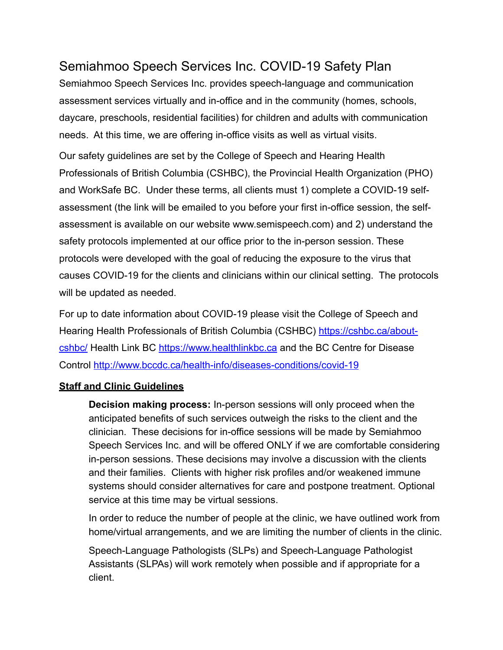# Semiahmoo Speech Services Inc. COVID-19 Safety Plan

Semiahmoo Speech Services Inc. provides speech-language and communication assessment services virtually and in-office and in the community (homes, schools, daycare, preschools, residential facilities) for children and adults with communication needs. At this time, we are offering in-office visits as well as virtual visits.

Our safety guidelines are set by the College of Speech and Hearing Health Professionals of British Columbia (CSHBC), the Provincial Health Organization (PHO) and WorkSafe BC. Under these terms, all clients must 1) complete a COVID-19 selfassessment (the link will be emailed to you before your first in-office session, the selfassessment is available on our website www.semispeech.com) and 2) understand the safety protocols implemented at our office prior to the in-person session. These protocols were developed with the goal of reducing the exposure to the virus that causes COVID-19 for the clients and clinicians within our clinical setting. The protocols will be updated as needed.

For up to date information about COVID-19 please visit the College of Speech and Hearing Health Professionals of British Columbia (CSHBC) [https://cshbc.ca/about](https://cshbc.ca/about-cshbc/)[cshbc/](https://cshbc.ca/about-cshbc/) Health Link BC<https://www.healthlinkbc.ca> and the BC Centre for Disease Control<http://www.bccdc.ca/health-info/diseases-conditions/covid-19>

## **Staff and Clinic Guidelines**

**Decision making process:** In-person sessions will only proceed when the anticipated benefits of such services outweigh the risks to the client and the clinician. These decisions for in-office sessions will be made by Semiahmoo Speech Services Inc. and will be offered ONLY if we are comfortable considering in-person sessions. These decisions may involve a discussion with the clients and their families. Clients with higher risk profiles and/or weakened immune systems should consider alternatives for care and postpone treatment. Optional service at this time may be virtual sessions.

In order to reduce the number of people at the clinic, we have outlined work from home/virtual arrangements, and we are limiting the number of clients in the clinic.

Speech-Language Pathologists (SLPs) and Speech-Language Pathologist Assistants (SLPAs) will work remotely when possible and if appropriate for a client.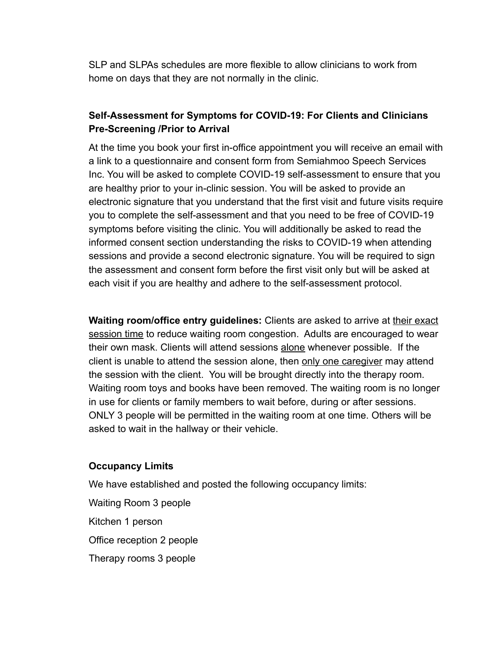SLP and SLPAs schedules are more flexible to allow clinicians to work from home on days that they are not normally in the clinic.

# **Self-Assessment for Symptoms for COVID-19: For Clients and Clinicians Pre-Screening /Prior to Arrival**

At the time you book your first in-office appointment you will receive an email with a link to a questionnaire and consent form from Semiahmoo Speech Services Inc. You will be asked to complete COVID-19 self-assessment to ensure that you are healthy prior to your in-clinic session. You will be asked to provide an electronic signature that you understand that the first visit and future visits require you to complete the self-assessment and that you need to be free of COVID-19 symptoms before visiting the clinic. You will additionally be asked to read the informed consent section understanding the risks to COVID-19 when attending sessions and provide a second electronic signature. You will be required to sign the assessment and consent form before the first visit only but will be asked at each visit if you are healthy and adhere to the self-assessment protocol.

Waiting room/office entry guidelines: Clients are asked to arrive at their exact session time to reduce waiting room congestion. Adults are encouraged to wear their own mask. Clients will attend sessions alone whenever possible. If the client is unable to attend the session alone, then only one caregiver may attend the session with the client. You will be brought directly into the therapy room. Waiting room toys and books have been removed. The waiting room is no longer in use for clients or family members to wait before, during or after sessions. ONLY 3 people will be permitted in the waiting room at one time. Others will be asked to wait in the hallway or their vehicle.

#### **Occupancy Limits**

We have established and posted the following occupancy limits:

- Waiting Room 3 people
- Kitchen 1 person

Office reception 2 people

Therapy rooms 3 people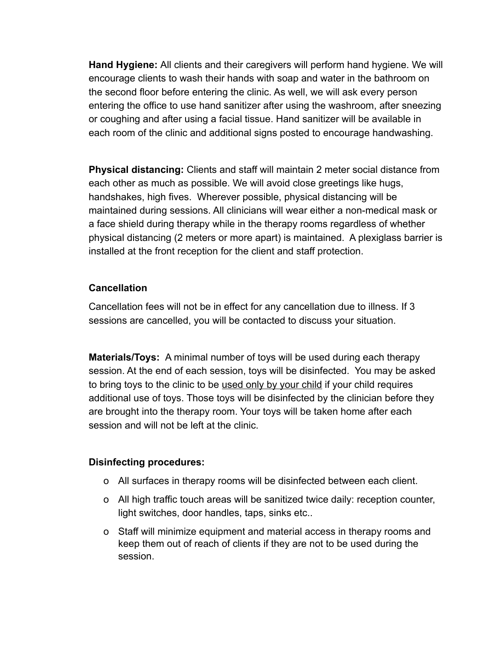**Hand Hygiene:** All clients and their caregivers will perform hand hygiene. We will encourage clients to wash their hands with soap and water in the bathroom on the second floor before entering the clinic. As well, we will ask every person entering the office to use hand sanitizer after using the washroom, after sneezing or coughing and after using a facial tissue. Hand sanitizer will be available in each room of the clinic and additional signs posted to encourage handwashing.

**Physical distancing:** Clients and staff will maintain 2 meter social distance from each other as much as possible. We will avoid close greetings like hugs, handshakes, high fives. Wherever possible, physical distancing will be maintained during sessions. All clinicians will wear either a non-medical mask or a face shield during therapy while in the therapy rooms regardless of whether physical distancing (2 meters or more apart) is maintained. A plexiglass barrier is installed at the front reception for the client and staff protection.

# **Cancellation**

Cancellation fees will not be in effect for any cancellation due to illness. If 3 sessions are cancelled, you will be contacted to discuss your situation.

**Materials/Toys:** A minimal number of toys will be used during each therapy session. At the end of each session, toys will be disinfected. You may be asked to bring toys to the clinic to be used only by your child if your child requires additional use of toys. Those toys will be disinfected by the clinician before they are brought into the therapy room. Your toys will be taken home after each session and will not be left at the clinic.

## **Disinfecting procedures:**

- o All surfaces in therapy rooms will be disinfected between each client.
- o All high traffic touch areas will be sanitized twice daily: reception counter, light switches, door handles, taps, sinks etc..
- o Staff will minimize equipment and material access in therapy rooms and keep them out of reach of clients if they are not to be used during the session.